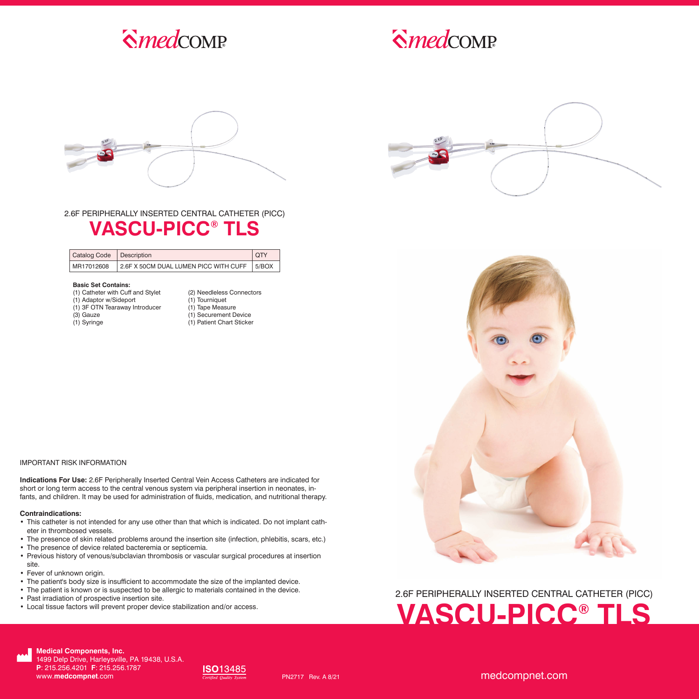

# $S$ *medcomp*



### 2.6F PERIPHERALLY INSERTED CENTRAL CATHETER (PICC) **VASCU-PICC® TLS**

| Catalog Code Description |                                               | <b>OTY</b> |
|--------------------------|-----------------------------------------------|------------|
| MR17012608               | 2.6F X 50CM DUAL LUMEN PICC WITH CUFF   5/BOX |            |

#### **Basic Set Contains:**

- (1) Catheter with Cuff and Stylet
- (1) Adaptor w/Sideport (1) 3F OTN Tearaway Introducer
	-
- (3) Gauze
- (1) Syringe

(2) Needleless Connectors (1) Tourniquet (1) Tape Measure (1) Securement Device (1) Patient Chart Sticker





#### IMPORTANT RISK INFORMATION

**Indications For Use:** 2.6F Peripherally Inserted Central Vein Access Catheters are indicated for short or long term access to the central venous system via peripheral insertion in neonates, infants, and children. It may be used for administration of fluids, medication, and nutritional therapy.

#### **Contraindications:**

- This catheter is not intended for any use other than that which is indicated. Do not implant catheter in thrombosed vessels.
- The presence of skin related problems around the insertion site (infection, phlebitis, scars, etc.)
- The presence of device related bacteremia or septicemia.
- Previous history of venous/subclavian thrombosis or vascular surgical procedures at insertion site.
- Fever of unknown origin.
- The patient's body size is insufficient to accommodate the size of the implanted device.
- The patient is known or is suspected to be allergic to materials contained in the device.
- Past irradiation of prospective insertion site.
- Local tissue factors will prevent proper device stabilization and/or access.

## 2.6F PERIPHERALLY INSERTED CENTRAL CATHETER (PICC) **VASCU-PICC® TLS**



**Medical Components, Inc.** 1499 Delp Drive, Harleysville, PA 19438, U.S.A. **P**: 215.256.4201 **F**: 215.256.1787 www.**medcompnet**.com



PN2717 Rev. A 8/21

medcompnet.com